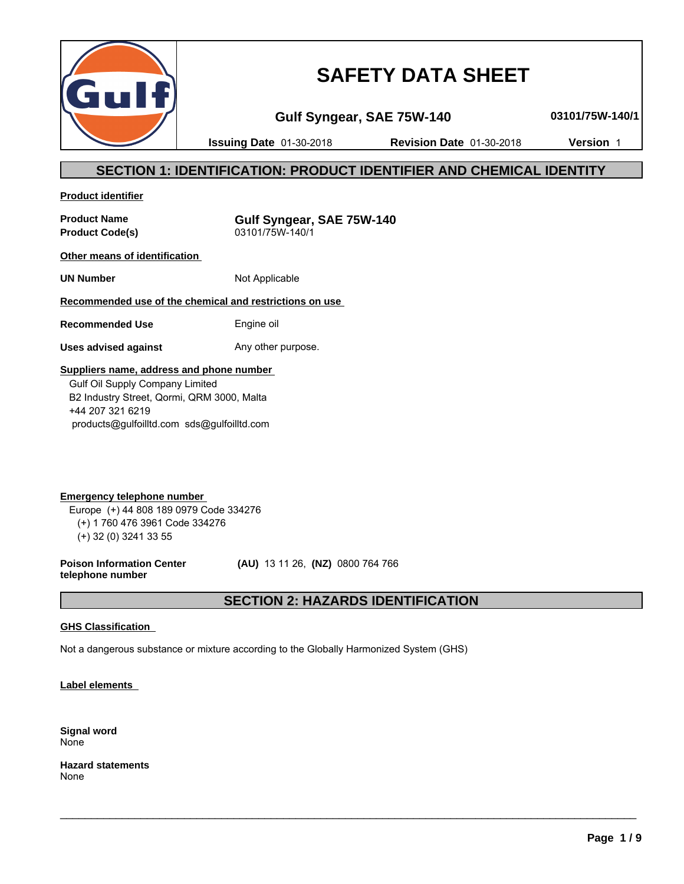

# **SAFETY DATA SHEET**

**Gulf Syngear, SAE 75W-140 03101/75W-140/1**

**Issuing Date** 01-30-2018 **Revision Date** 01-30-2018 **Version** 1

# **SECTION 1: IDENTIFICATION: PRODUCT IDENTIFIER AND CHEMICAL IDENTITY**

**Product identifier**

**Product Name Gulf Syngear, SAE 75W-140 Product Code(s)** 03101/75W-140/1

**Other means of identification** 

**UN Number** Not Applicable

# **Recommended use of the chemical and restrictions on use**

**Recommended Use** Engine oil

**Uses advised against** Any other purpose.

## **Suppliers name, address and phone number**

 Gulf Oil Supply Company Limited B2 Industry Street, Qormi, QRM 3000, Malta +44 207 321 6219 products@gulfoilltd.com sds@gulfoilltd.com

**Emergency telephone number**  Europe (+) 44 808 189 0979 Code 334276 (+) 1 760 476 3961 Code 334276 (+) 32 (0) 3241 33 55

**Poison Information Center telephone number**

 **(AU)** 13 11 26, **(NZ)** 0800 764 766

# **SECTION 2: HAZARDS IDENTIFICATION**

 $\_$  ,  $\_$  ,  $\_$  ,  $\_$  ,  $\_$  ,  $\_$  ,  $\_$  ,  $\_$  ,  $\_$  ,  $\_$  ,  $\_$  ,  $\_$  ,  $\_$  ,  $\_$  ,  $\_$  ,  $\_$  ,  $\_$  ,  $\_$  ,  $\_$  ,  $\_$  ,  $\_$  ,  $\_$  ,  $\_$  ,  $\_$  ,  $\_$  ,  $\_$  ,  $\_$  ,  $\_$  ,  $\_$  ,  $\_$  ,  $\_$  ,  $\_$  ,  $\_$  ,  $\_$  ,  $\_$  ,  $\_$  ,  $\_$  ,

## **GHS Classification**

Not a dangerous substance or mixture according to the Globally Harmonized System (GHS)

**Label elements** 

**Signal word** None

**Hazard statements** None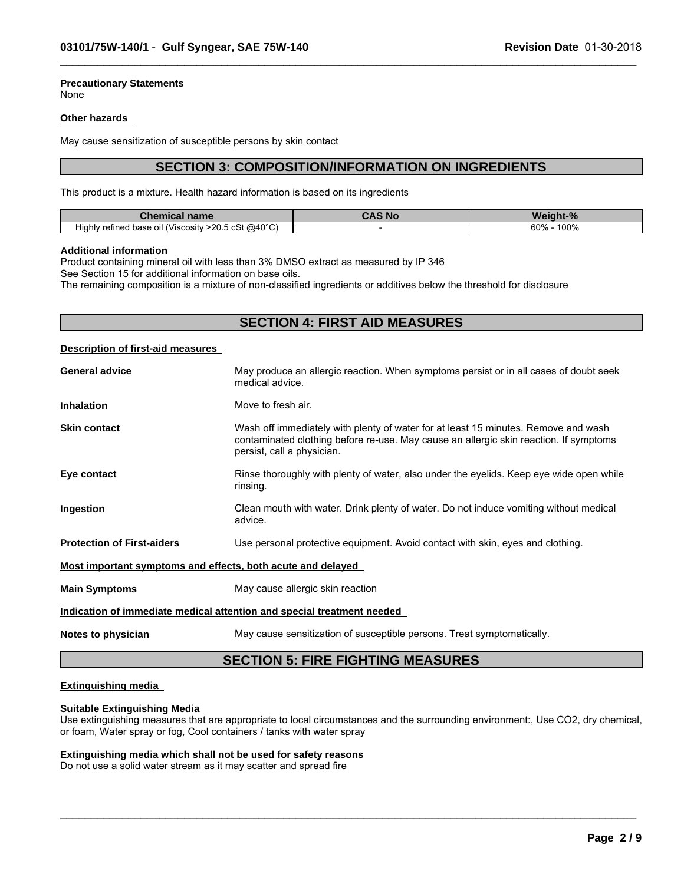# **Precautionary Statements**

None

#### **Other hazards**

May cause sensitization of susceptible persons by skin contact

# **SECTION 3: COMPOSITION/INFORMATION ON INGREDIENTS**

 $\_$  ,  $\_$  ,  $\_$  ,  $\_$  ,  $\_$  ,  $\_$  ,  $\_$  ,  $\_$  ,  $\_$  ,  $\_$  ,  $\_$  ,  $\_$  ,  $\_$  ,  $\_$  ,  $\_$  ,  $\_$  ,  $\_$  ,  $\_$  ,  $\_$  ,  $\_$  ,  $\_$  ,  $\_$  ,  $\_$  ,  $\_$  ,  $\_$  ,  $\_$  ,  $\_$  ,  $\_$  ,  $\_$  ,  $\_$  ,  $\_$  ,  $\_$  ,  $\_$  ,  $\_$  ,  $\_$  ,  $\_$  ,  $\_$  ,

This product is a mixture. Health hazard information is based on its ingredients

| name<br>Chemical                                                                                                                    | א כֿ S<br><b>SOM</b> | andhi ann an S<br>M<br>70 |
|-------------------------------------------------------------------------------------------------------------------------------------|----------------------|---------------------------|
| . @40°C<br>$\cdots$<br>$. \wedge$ $\mathbb{C}^+$<br>$\sim$ $\Omega$<br>'Viscositv⊹<br>Highly<br>refined base of<br>- >20.5 CSL<br>. |                      | $100^\circ$<br>60%        |

#### **Additional information**

Product containing mineral oil with less than 3% DMSO extract as measured by IP 346 See Section 15 for additional information on base oils.

The remaining composition is a mixture of non-classified ingredients or additives below the threshold for disclosure

# **SECTION 4: FIRST AID MEASURES**

#### **Description of first-aid measures**

| <b>General advice</b>                                       | May produce an allergic reaction. When symptoms persist or in all cases of doubt seek<br>medical advice.                                                                                                  |  |  |  |
|-------------------------------------------------------------|-----------------------------------------------------------------------------------------------------------------------------------------------------------------------------------------------------------|--|--|--|
| <b>Inhalation</b>                                           | Move to fresh air.                                                                                                                                                                                        |  |  |  |
| <b>Skin contact</b>                                         | Wash off immediately with plenty of water for at least 15 minutes. Remove and wash<br>contaminated clothing before re-use. May cause an allergic skin reaction. If symptoms<br>persist, call a physician. |  |  |  |
| Eye contact                                                 | Rinse thoroughly with plenty of water, also under the eyelids. Keep eye wide open while<br>rinsing.                                                                                                       |  |  |  |
| Ingestion                                                   | Clean mouth with water. Drink plenty of water. Do not induce vomiting without medical<br>advice.                                                                                                          |  |  |  |
| <b>Protection of First-aiders</b>                           | Use personal protective equipment. Avoid contact with skin, eyes and clothing.                                                                                                                            |  |  |  |
| Most important symptoms and effects, both acute and delayed |                                                                                                                                                                                                           |  |  |  |
| <b>Main Symptoms</b>                                        | May cause allergic skin reaction                                                                                                                                                                          |  |  |  |
|                                                             | Indication of immediate medical attention and special treatment needed                                                                                                                                    |  |  |  |
| Notes to physician                                          | May cause sensitization of susceptible persons. Treat symptomatically.                                                                                                                                    |  |  |  |

# **SECTION 5: FIRE FIGHTING MEASURES**

#### **Extinguishing media**

#### **Suitable Extinguishing Media**

Use extinguishing measures that are appropriate to local circumstances and the surrounding environment:, Use CO2, dry chemical, or foam, Water spray or fog, Cool containers / tanks with water spray

 $\_$  ,  $\_$  ,  $\_$  ,  $\_$  ,  $\_$  ,  $\_$  ,  $\_$  ,  $\_$  ,  $\_$  ,  $\_$  ,  $\_$  ,  $\_$  ,  $\_$  ,  $\_$  ,  $\_$  ,  $\_$  ,  $\_$  ,  $\_$  ,  $\_$  ,  $\_$  ,  $\_$  ,  $\_$  ,  $\_$  ,  $\_$  ,  $\_$  ,  $\_$  ,  $\_$  ,  $\_$  ,  $\_$  ,  $\_$  ,  $\_$  ,  $\_$  ,  $\_$  ,  $\_$  ,  $\_$  ,  $\_$  ,  $\_$  ,

# **Extinguishing media which shall not be used for safety reasons**

Do not use a solid water stream as it may scatter and spread fire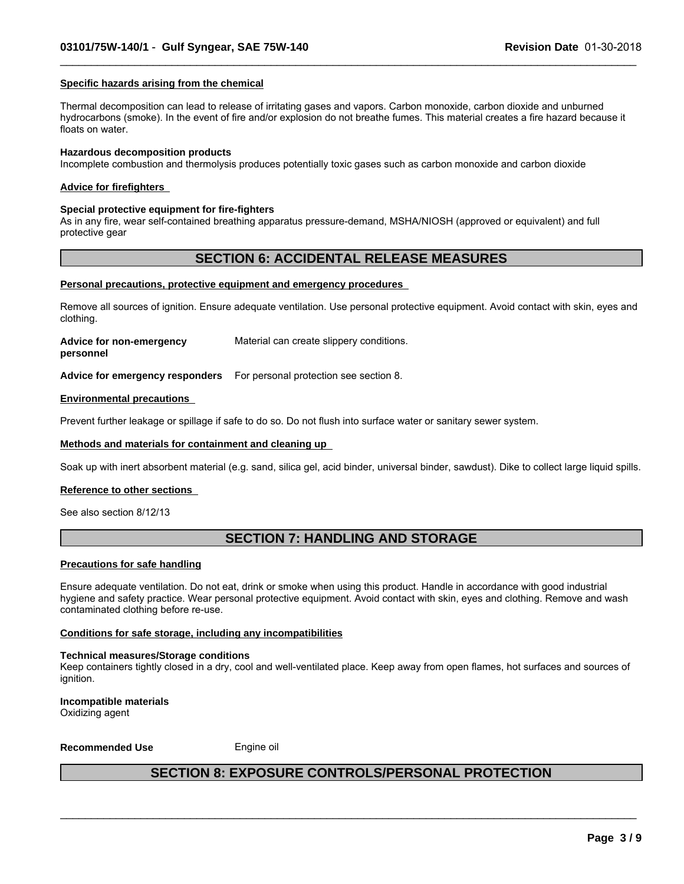#### **Specific hazards arising from the chemical**

Thermal decomposition can lead to release of irritating gases and vapors. Carbon monoxide, carbon dioxide and unburned hydrocarbons (smoke). In the event of fire and/or explosion do not breathe fumes. This material creates a fire hazard because it floats on water.

 $\_$  ,  $\_$  ,  $\_$  ,  $\_$  ,  $\_$  ,  $\_$  ,  $\_$  ,  $\_$  ,  $\_$  ,  $\_$  ,  $\_$  ,  $\_$  ,  $\_$  ,  $\_$  ,  $\_$  ,  $\_$  ,  $\_$  ,  $\_$  ,  $\_$  ,  $\_$  ,  $\_$  ,  $\_$  ,  $\_$  ,  $\_$  ,  $\_$  ,  $\_$  ,  $\_$  ,  $\_$  ,  $\_$  ,  $\_$  ,  $\_$  ,  $\_$  ,  $\_$  ,  $\_$  ,  $\_$  ,  $\_$  ,  $\_$  ,

#### **Hazardous decomposition products**

Incomplete combustion and thermolysis produces potentially toxic gases such as carbon monoxide and carbon dioxide

#### **Advice for firefighters**

#### **Special protective equipment for fire-fighters**

As in any fire, wear self-contained breathing apparatus pressure-demand, MSHA/NIOSH (approved or equivalent) and full protective gear

# **SECTION 6: ACCIDENTAL RELEASE MEASURES**

#### **Personal precautions, protective equipment and emergency procedures**

Remove all sources of ignition. Ensure adequate ventilation. Use personal protective equipment. Avoid contact with skin, eyes and clothing.

**Advice for non-emergency** Material can create slippery conditions.

**personnel**

**Advice for emergency responders** For personal protection see section 8.

#### **Environmental precautions**

Prevent further leakage or spillage if safe to do so. Do not flush into surface water or sanitary sewer system.

#### **Methods and materials for containment and cleaning up**

Soak up with inert absorbent material (e.g. sand, silica gel, acid binder, universal binder, sawdust). Dike to collect large liquid spills.

#### **Reference to other sections**

See also section 8/12/13

# **SECTION 7: HANDLING AND STORAGE**

#### **Precautions for safe handling**

Ensure adequate ventilation. Do not eat, drink or smoke when using this product. Handle in accordance with good industrial hygiene and safety practice. Wear personal protective equipment. Avoid contact with skin, eyes and clothing. Remove and wash contaminated clothing before re-use.

#### **Conditions for safe storage, including any incompatibilities**

#### **Technical measures/Storage conditions**

Keep containers tightly closed in a dry, cool and well-ventilated place. Keep away from open flames, hot surfaces and sources of ianition.

**Incompatible materials** Oxidizing agent

**Recommended Use** Engine oil

# **SECTION 8: EXPOSURE CONTROLS/PERSONAL PROTECTION**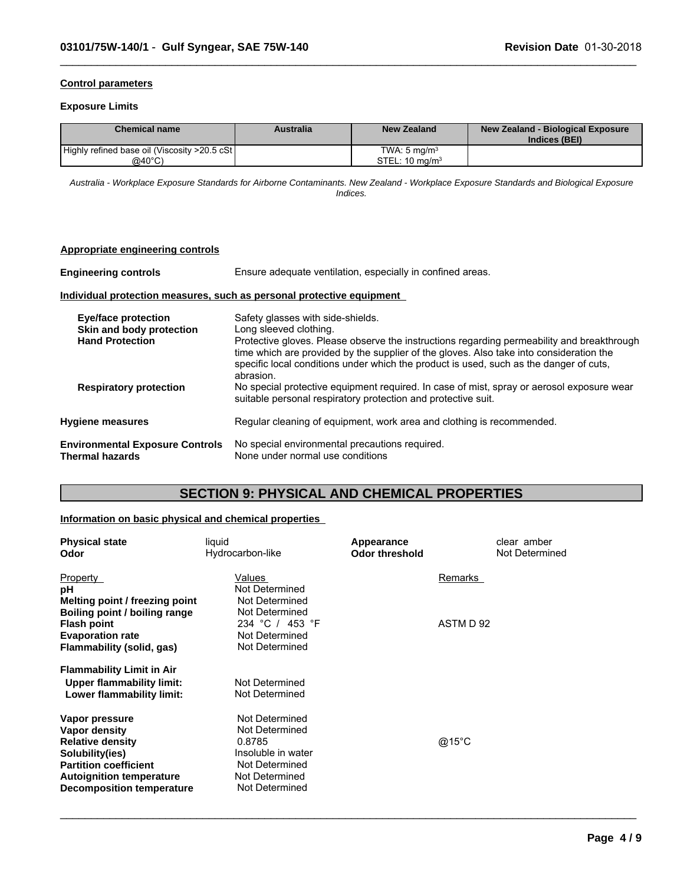#### **Control parameters**

#### **Exposure Limits**

| <b>Chemical name</b>                          | Australia | <b>New Zealand</b>        | New Zealand - Biological Exposure<br>Indices (BEI) |
|-----------------------------------------------|-----------|---------------------------|----------------------------------------------------|
| Highly refined base oil (Viscosity >20.5 cSt) |           | TWA: 5 ma/m <sup>3</sup>  |                                                    |
| @40°C)                                        |           | STEL: $10 \text{ mg/m}^3$ |                                                    |

 $\_$  ,  $\_$  ,  $\_$  ,  $\_$  ,  $\_$  ,  $\_$  ,  $\_$  ,  $\_$  ,  $\_$  ,  $\_$  ,  $\_$  ,  $\_$  ,  $\_$  ,  $\_$  ,  $\_$  ,  $\_$  ,  $\_$  ,  $\_$  ,  $\_$  ,  $\_$  ,  $\_$  ,  $\_$  ,  $\_$  ,  $\_$  ,  $\_$  ,  $\_$  ,  $\_$  ,  $\_$  ,  $\_$  ,  $\_$  ,  $\_$  ,  $\_$  ,  $\_$  ,  $\_$  ,  $\_$  ,  $\_$  ,  $\_$  ,

*Australia - Workplace Exposure Standards for Airborne Contaminants. New Zealand - Workplace Exposure Standards and Biological Exposure Indices.*

#### **Appropriate engineering controls**

**Engineering controls** Ensure adequate ventilation, especially in confined areas.

#### **Individual protection measures, such as personal protective equipment**

| Eye/face protection<br>Skin and body protection           | Safety glasses with side-shields.<br>Long sleeved clothing.                                                                                                                                                                                                                                  |
|-----------------------------------------------------------|----------------------------------------------------------------------------------------------------------------------------------------------------------------------------------------------------------------------------------------------------------------------------------------------|
| <b>Hand Protection</b>                                    | Protective gloves. Please observe the instructions regarding permeability and breakthrough<br>time which are provided by the supplier of the gloves. Also take into consideration the<br>specific local conditions under which the product is used, such as the danger of cuts,<br>abrasion. |
| <b>Respiratory protection</b>                             | No special protective equipment required. In case of mist, spray or aerosol exposure wear<br>suitable personal respiratory protection and protective suit.                                                                                                                                   |
| <b>Hygiene measures</b>                                   | Regular cleaning of equipment, work area and clothing is recommended.                                                                                                                                                                                                                        |
| <b>Environmental Exposure Controls</b><br>Thermal hazards | No special environmental precautions required.<br>None under normal use conditions                                                                                                                                                                                                           |

# **SECTION 9: PHYSICAL AND CHEMICAL PROPERTIES**

## **Information on basic physical and chemical properties**

| <b>Physical state</b><br>Odor    | liquid<br>Hydrocarbon-like | Appearance<br><b>Odor threshold</b> | clear amber<br>Not Determined |
|----------------------------------|----------------------------|-------------------------------------|-------------------------------|
| Property                         | Values                     | Remarks                             |                               |
| pH                               | Not Determined             |                                     |                               |
| Melting point / freezing point   | Not Determined             |                                     |                               |
| Boiling point / boiling range    | Not Determined             |                                     |                               |
| <b>Flash point</b>               | 234 °C / 453 °F            | ASTM D 92                           |                               |
| <b>Evaporation rate</b>          | Not Determined             |                                     |                               |
| Flammability (solid, gas)        | Not Determined             |                                     |                               |
| <b>Flammability Limit in Air</b> |                            |                                     |                               |
| <b>Upper flammability limit:</b> | Not Determined             |                                     |                               |
| Lower flammability limit:        | Not Determined             |                                     |                               |
| Vapor pressure                   | Not Determined             |                                     |                               |
| Vapor density                    | Not Determined             |                                     |                               |
| <b>Relative density</b>          | 0.8785                     | @15°C                               |                               |
| Solubility(ies)                  | Insoluble in water         |                                     |                               |
| <b>Partition coefficient</b>     | Not Determined             |                                     |                               |
| <b>Autoignition temperature</b>  | Not Determined             |                                     |                               |
| <b>Decomposition temperature</b> | Not Determined             |                                     |                               |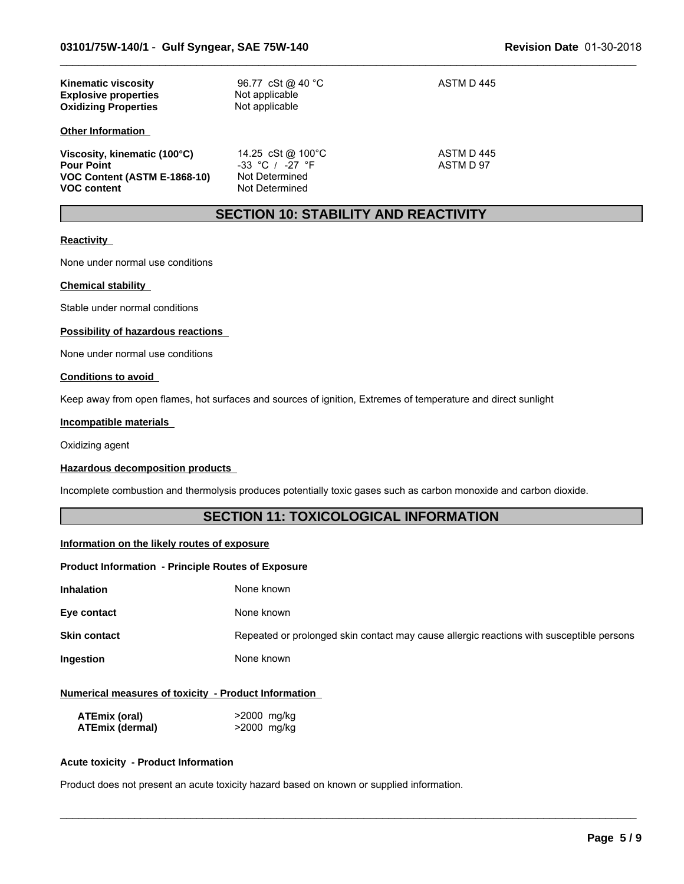| <b>Kinematic viscosity</b><br><b>Explosive properties</b><br><b>Oxidizing Properties</b>                | 96.77 cSt @ 40 °C<br>Not applicable<br>Not applicable                        | ASTM D 445              |
|---------------------------------------------------------------------------------------------------------|------------------------------------------------------------------------------|-------------------------|
| <b>Other Information</b>                                                                                |                                                                              |                         |
| Viscosity, kinematic (100°C)<br><b>Pour Point</b><br>VOC Content (ASTM E-1868-10)<br><b>VOC content</b> | 14.25 cSt @ 100°C<br>$-33$ °C / $-27$ °F<br>Not Determined<br>Not Determined | ASTM D 445<br>ASTM D 97 |

# **SECTION 10: STABILITY AND REACTIVITY**

 $\_$  ,  $\_$  ,  $\_$  ,  $\_$  ,  $\_$  ,  $\_$  ,  $\_$  ,  $\_$  ,  $\_$  ,  $\_$  ,  $\_$  ,  $\_$  ,  $\_$  ,  $\_$  ,  $\_$  ,  $\_$  ,  $\_$  ,  $\_$  ,  $\_$  ,  $\_$  ,  $\_$  ,  $\_$  ,  $\_$  ,  $\_$  ,  $\_$  ,  $\_$  ,  $\_$  ,  $\_$  ,  $\_$  ,  $\_$  ,  $\_$  ,  $\_$  ,  $\_$  ,  $\_$  ,  $\_$  ,  $\_$  ,  $\_$  ,

## **Reactivity**

None under normal use conditions

#### **Chemical stability**

Stable under normal conditions

#### **Possibility of hazardous reactions**

None under normal use conditions

#### **Conditions to avoid**

Keep away from open flames, hot surfaces and sources of ignition, Extremes of temperature and direct sunlight

#### **Incompatible materials**

Oxidizing agent

#### **Hazardous decomposition products**

Incomplete combustion and thermolysis produces potentially toxic gases such as carbon monoxide and carbon dioxide.

# **SECTION 11: TOXICOLOGICAL INFORMATION**

#### **Information on the likely routes of exposure**

#### **Product Information - Principle Routes of Exposure**

| Inhalation<br>None known |
|--------------------------|
|--------------------------|

**Eye contact** None known

**Skin contact** Repeated or prolonged skin contact may cause allergic reactions with susceptible persons

 $\_$  ,  $\_$  ,  $\_$  ,  $\_$  ,  $\_$  ,  $\_$  ,  $\_$  ,  $\_$  ,  $\_$  ,  $\_$  ,  $\_$  ,  $\_$  ,  $\_$  ,  $\_$  ,  $\_$  ,  $\_$  ,  $\_$  ,  $\_$  ,  $\_$  ,  $\_$  ,  $\_$  ,  $\_$  ,  $\_$  ,  $\_$  ,  $\_$  ,  $\_$  ,  $\_$  ,  $\_$  ,  $\_$  ,  $\_$  ,  $\_$  ,  $\_$  ,  $\_$  ,  $\_$  ,  $\_$  ,  $\_$  ,  $\_$  ,

**Ingestion** None known

#### **Numerical measures of toxicity - Product Information**

| ATEmix (oral)          | >2000 mg/kg |
|------------------------|-------------|
| <b>ATEmix (dermal)</b> | >2000 mg/kg |

#### **Acute toxicity - Product Information**

Product does not present an acute toxicity hazard based on known or supplied information.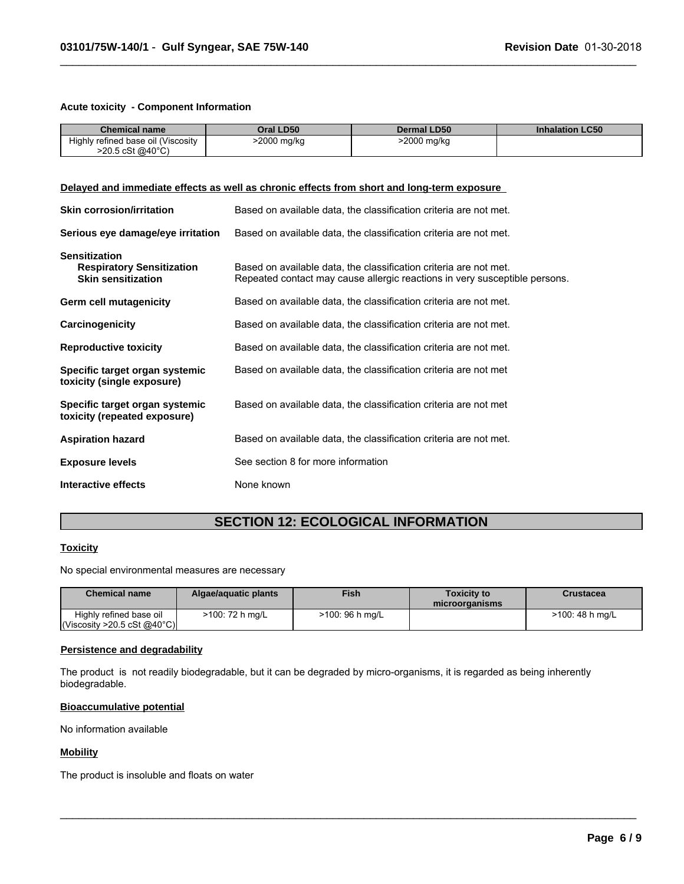#### **Acute toxicity - Component Information**

| <b>Chemical name</b>                                                                       | Oral LD50                                                                                              | <b>Dermal LD50</b>                                                                                                                              | <b>Inhalation LC50</b> |  |
|--------------------------------------------------------------------------------------------|--------------------------------------------------------------------------------------------------------|-------------------------------------------------------------------------------------------------------------------------------------------------|------------------------|--|
| Highly refined base oil (Viscosity<br>$>20.5 \text{ cSt } @40^{\circ}C)$                   | >2000 mg/kg                                                                                            | $\overline{>2000}$ mg/kg                                                                                                                        |                        |  |
|                                                                                            |                                                                                                        |                                                                                                                                                 |                        |  |
|                                                                                            |                                                                                                        |                                                                                                                                                 |                        |  |
| Delayed and immediate effects as well as chronic effects from short and long-term exposure |                                                                                                        |                                                                                                                                                 |                        |  |
| <b>Skin corrosion/irritation</b>                                                           |                                                                                                        | Based on available data, the classification criteria are not met.                                                                               |                        |  |
|                                                                                            | Serious eye damage/eye irritation<br>Based on available data, the classification criteria are not met. |                                                                                                                                                 |                        |  |
| <b>Sensitization</b><br><b>Respiratory Sensitization</b><br><b>Skin sensitization</b>      |                                                                                                        | Based on available data, the classification criteria are not met.<br>Repeated contact may cause allergic reactions in very susceptible persons. |                        |  |
| Germ cell mutagenicity                                                                     |                                                                                                        | Based on available data, the classification criteria are not met.                                                                               |                        |  |
| Carcinogenicity                                                                            | Based on available data, the classification criteria are not met.                                      |                                                                                                                                                 |                        |  |
| <b>Reproductive toxicity</b>                                                               | Based on available data, the classification criteria are not met.                                      |                                                                                                                                                 |                        |  |
| Specific target organ systemic<br>toxicity (single exposure)                               |                                                                                                        | Based on available data, the classification criteria are not met                                                                                |                        |  |
| Specific target organ systemic<br>toxicity (repeated exposure)                             |                                                                                                        | Based on available data, the classification criteria are not met                                                                                |                        |  |
| <b>Aspiration hazard</b>                                                                   |                                                                                                        | Based on available data, the classification criteria are not met.                                                                               |                        |  |
| <b>Exposure levels</b>                                                                     | See section 8 for more information                                                                     |                                                                                                                                                 |                        |  |
| Interactive effects                                                                        | None known                                                                                             |                                                                                                                                                 |                        |  |

 $\_$  ,  $\_$  ,  $\_$  ,  $\_$  ,  $\_$  ,  $\_$  ,  $\_$  ,  $\_$  ,  $\_$  ,  $\_$  ,  $\_$  ,  $\_$  ,  $\_$  ,  $\_$  ,  $\_$  ,  $\_$  ,  $\_$  ,  $\_$  ,  $\_$  ,  $\_$  ,  $\_$  ,  $\_$  ,  $\_$  ,  $\_$  ,  $\_$  ,  $\_$  ,  $\_$  ,  $\_$  ,  $\_$  ,  $\_$  ,  $\_$  ,  $\_$  ,  $\_$  ,  $\_$  ,  $\_$  ,  $\_$  ,  $\_$  ,

# **SECTION 12: ECOLOGICAL INFORMATION**

## **Toxicity**

No special environmental measures are necessary

| <b>Chemical name</b>                                                   | Algae/aguatic plants | <b>Fish</b>     | <b>Toxicity to</b><br>microorganisms | Crustacea       |
|------------------------------------------------------------------------|----------------------|-----------------|--------------------------------------|-----------------|
| Highly refined base oil<br>$\vert$ (Viscosity >20.5 cSt @40°C) $\vert$ | >100: 72 h mg/L      | >100: 96 h mg/L |                                      | >100: 48 h mg/L |

 $\_$  ,  $\_$  ,  $\_$  ,  $\_$  ,  $\_$  ,  $\_$  ,  $\_$  ,  $\_$  ,  $\_$  ,  $\_$  ,  $\_$  ,  $\_$  ,  $\_$  ,  $\_$  ,  $\_$  ,  $\_$  ,  $\_$  ,  $\_$  ,  $\_$  ,  $\_$  ,  $\_$  ,  $\_$  ,  $\_$  ,  $\_$  ,  $\_$  ,  $\_$  ,  $\_$  ,  $\_$  ,  $\_$  ,  $\_$  ,  $\_$  ,  $\_$  ,  $\_$  ,  $\_$  ,  $\_$  ,  $\_$  ,  $\_$  ,

#### **Persistence and degradability**

The product is not readily biodegradable, but it can be degraded by micro-organisms, it is regarded as being inherently biodegradable.

#### **Bioaccumulative potential**

No information available

## **Mobility**

The product is insoluble and floats on water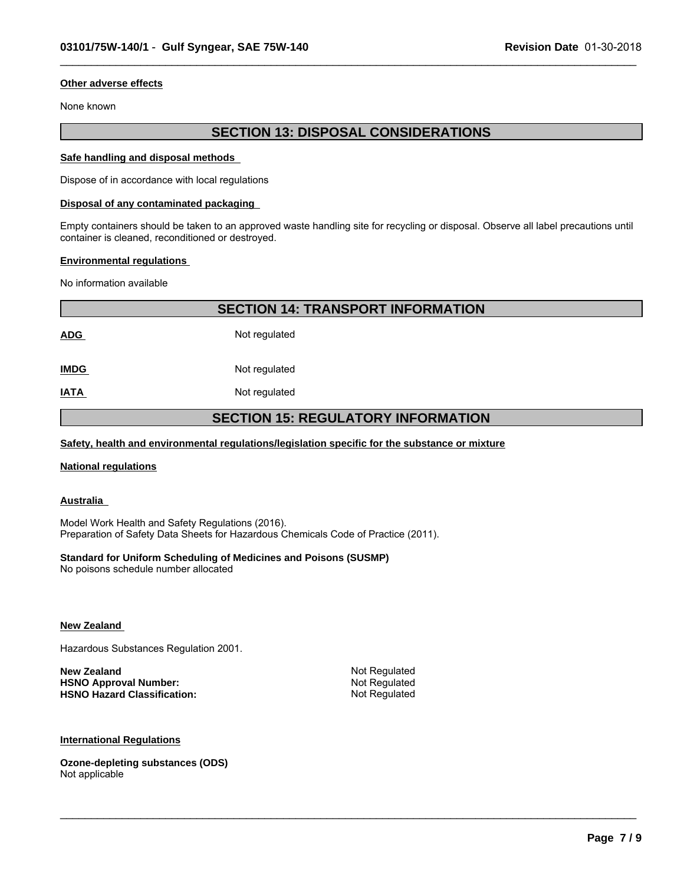#### **Other adverse effects**

None known

# **SECTION 13: DISPOSAL CONSIDERATIONS**

 $\_$  ,  $\_$  ,  $\_$  ,  $\_$  ,  $\_$  ,  $\_$  ,  $\_$  ,  $\_$  ,  $\_$  ,  $\_$  ,  $\_$  ,  $\_$  ,  $\_$  ,  $\_$  ,  $\_$  ,  $\_$  ,  $\_$  ,  $\_$  ,  $\_$  ,  $\_$  ,  $\_$  ,  $\_$  ,  $\_$  ,  $\_$  ,  $\_$  ,  $\_$  ,  $\_$  ,  $\_$  ,  $\_$  ,  $\_$  ,  $\_$  ,  $\_$  ,  $\_$  ,  $\_$  ,  $\_$  ,  $\_$  ,  $\_$  ,

#### **Safe handling and disposal methods**

Dispose of in accordance with local regulations

#### **Disposal of any contaminated packaging**

Empty containers should be taken to an approved waste handling site for recycling or disposal. Observe all label precautions until container is cleaned, reconditioned or destroyed.

#### **Environmental regulations**

No information available

| <b>SECTION 14: TRANSPORT INFORMATION</b>  |               |  |
|-------------------------------------------|---------------|--|
| <b>ADG</b>                                | Not regulated |  |
| <b>IMDG</b>                               | Not regulated |  |
| <b>IATA</b>                               | Not regulated |  |
| <b>SECTION 15: REGULATORY INFORMATION</b> |               |  |

 $\_$  ,  $\_$  ,  $\_$  ,  $\_$  ,  $\_$  ,  $\_$  ,  $\_$  ,  $\_$  ,  $\_$  ,  $\_$  ,  $\_$  ,  $\_$  ,  $\_$  ,  $\_$  ,  $\_$  ,  $\_$  ,  $\_$  ,  $\_$  ,  $\_$  ,  $\_$  ,  $\_$  ,  $\_$  ,  $\_$  ,  $\_$  ,  $\_$  ,  $\_$  ,  $\_$  ,  $\_$  ,  $\_$  ,  $\_$  ,  $\_$  ,  $\_$  ,  $\_$  ,  $\_$  ,  $\_$  ,  $\_$  ,  $\_$  ,

### **Safety, health and environmental regulations/legislation specific for the substance or mixture**

#### **National regulations**

**Australia** 

Model Work Health and Safety Regulations (2016). Preparation of Safety Data Sheets for Hazardous Chemicals Code of Practice (2011).

#### **Standard for Uniform Scheduling of Medicines and Poisons (SUSMP)**

No poisons schedule number allocated

#### **New Zealand**

Hazardous Substances Regulation 2001.

| New Zealand                        | Not Regulated |
|------------------------------------|---------------|
| <b>HSNO Approval Number:</b>       | Not Regulated |
| <b>HSNO Hazard Classification:</b> | Not Regulated |

#### **International Regulations**

**Ozone-depleting substances (ODS)** Not applicable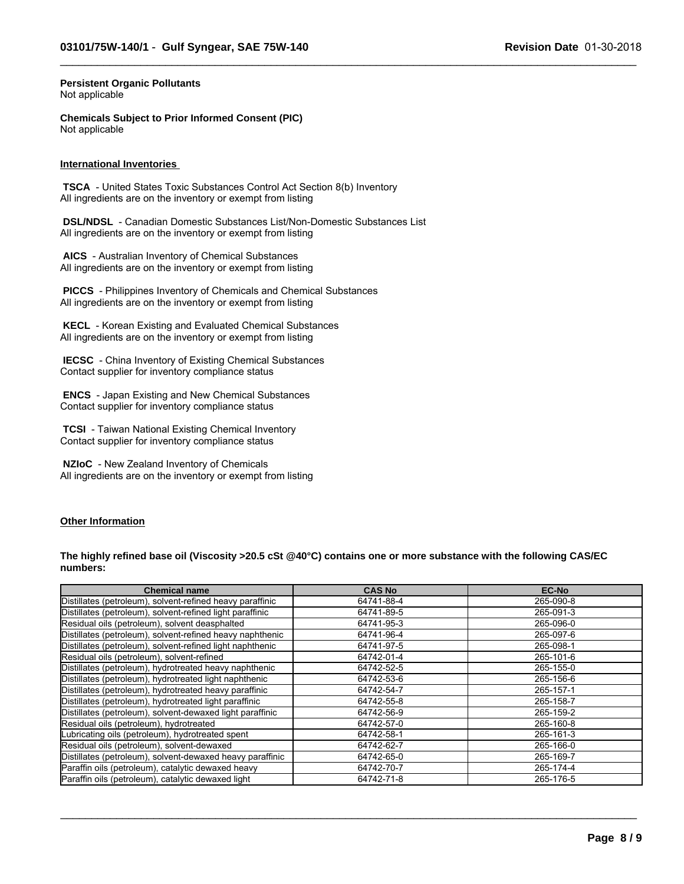$\_$  ,  $\_$  ,  $\_$  ,  $\_$  ,  $\_$  ,  $\_$  ,  $\_$  ,  $\_$  ,  $\_$  ,  $\_$  ,  $\_$  ,  $\_$  ,  $\_$  ,  $\_$  ,  $\_$  ,  $\_$  ,  $\_$  ,  $\_$  ,  $\_$  ,  $\_$  ,  $\_$  ,  $\_$  ,  $\_$  ,  $\_$  ,  $\_$  ,  $\_$  ,  $\_$  ,  $\_$  ,  $\_$  ,  $\_$  ,  $\_$  ,  $\_$  ,  $\_$  ,  $\_$  ,  $\_$  ,  $\_$  ,  $\_$  ,

#### **Persistent Organic Pollutants** Not applicable

**Chemicals Subject to Prior Informed Consent (PIC)** Not applicable

#### **International Inventories**

 **TSCA** - United States Toxic Substances Control Act Section 8(b) Inventory All ingredients are on the inventory or exempt from listing

 **DSL/NDSL** - Canadian Domestic Substances List/Non-Domestic Substances List All ingredients are on the inventory or exempt from listing

 **AICS** - Australian Inventory of Chemical Substances All ingredients are on the inventory or exempt from listing

 **PICCS** - Philippines Inventory of Chemicals and Chemical Substances All ingredients are on the inventory or exempt from listing

 **KECL** - Korean Existing and Evaluated Chemical Substances All ingredients are on the inventory or exempt from listing

 **IECSC** - China Inventory of Existing Chemical Substances Contact supplier for inventory compliance status

 **ENCS** - Japan Existing and New Chemical Substances Contact supplier for inventory compliance status

 **TCSI** - Taiwan National Existing Chemical Inventory Contact supplier for inventory compliance status

 **NZIoC** - New Zealand Inventory of Chemicals All ingredients are on the inventory or exempt from listing

#### **Other Information**

**The highly refined base oil (Viscosity >20.5 cSt @40°C) contains one or more substance with the following CAS/EC numbers:**

| <b>Chemical name</b>                                      | <b>CAS No</b> | <b>EC-No</b> |
|-----------------------------------------------------------|---------------|--------------|
| Distillates (petroleum), solvent-refined heavy paraffinic | 64741-88-4    | 265-090-8    |
| Distillates (petroleum), solvent-refined light paraffinic | 64741-89-5    | 265-091-3    |
| Residual oils (petroleum), solvent deasphalted            | 64741-95-3    | 265-096-0    |
| Distillates (petroleum), solvent-refined heavy naphthenic | 64741-96-4    | 265-097-6    |
| Distillates (petroleum), solvent-refined light naphthenic | 64741-97-5    | 265-098-1    |
| Residual oils (petroleum), solvent-refined                | 64742-01-4    | 265-101-6    |
| Distillates (petroleum), hydrotreated heavy naphthenic    | 64742-52-5    | 265-155-0    |
| Distillates (petroleum), hydrotreated light naphthenic    | 64742-53-6    | 265-156-6    |
| Distillates (petroleum), hydrotreated heavy paraffinic    | 64742-54-7    | 265-157-1    |
| Distillates (petroleum), hydrotreated light paraffinic    | 64742-55-8    | 265-158-7    |
| Distillates (petroleum), solvent-dewaxed light paraffinic | 64742-56-9    | 265-159-2    |
| Residual oils (petroleum), hydrotreated                   | 64742-57-0    | 265-160-8    |
| Lubricating oils (petroleum), hydrotreated spent          | 64742-58-1    | 265-161-3    |
| Residual oils (petroleum), solvent-dewaxed                | 64742-62-7    | 265-166-0    |
| Distillates (petroleum), solvent-dewaxed heavy paraffinic | 64742-65-0    | 265-169-7    |
| Paraffin oils (petroleum), catalytic dewaxed heavy        | 64742-70-7    | 265-174-4    |
| Paraffin oils (petroleum), catalytic dewaxed light        | 64742-71-8    | 265-176-5    |